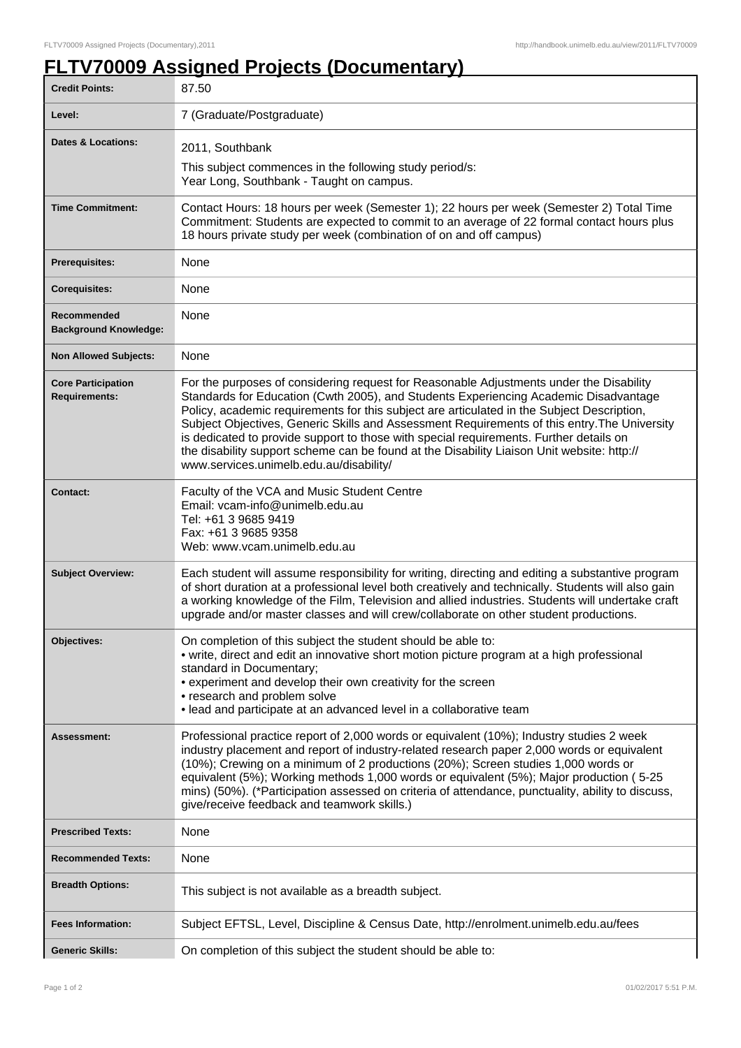ı

## **FLTV70009 Assigned Projects (Documentary)**

| <b>Credit Points:</b>                             | 87.50                                                                                                                                                                                                                                                                                                                                                                                                                                                                                                                                                                                                            |
|---------------------------------------------------|------------------------------------------------------------------------------------------------------------------------------------------------------------------------------------------------------------------------------------------------------------------------------------------------------------------------------------------------------------------------------------------------------------------------------------------------------------------------------------------------------------------------------------------------------------------------------------------------------------------|
| Level:                                            | 7 (Graduate/Postgraduate)                                                                                                                                                                                                                                                                                                                                                                                                                                                                                                                                                                                        |
| <b>Dates &amp; Locations:</b>                     | 2011, Southbank                                                                                                                                                                                                                                                                                                                                                                                                                                                                                                                                                                                                  |
|                                                   | This subject commences in the following study period/s:<br>Year Long, Southbank - Taught on campus.                                                                                                                                                                                                                                                                                                                                                                                                                                                                                                              |
| <b>Time Commitment:</b>                           | Contact Hours: 18 hours per week (Semester 1); 22 hours per week (Semester 2) Total Time<br>Commitment: Students are expected to commit to an average of 22 formal contact hours plus<br>18 hours private study per week (combination of on and off campus)                                                                                                                                                                                                                                                                                                                                                      |
| <b>Prerequisites:</b>                             | None                                                                                                                                                                                                                                                                                                                                                                                                                                                                                                                                                                                                             |
| <b>Corequisites:</b>                              | None                                                                                                                                                                                                                                                                                                                                                                                                                                                                                                                                                                                                             |
| Recommended<br><b>Background Knowledge:</b>       | None                                                                                                                                                                                                                                                                                                                                                                                                                                                                                                                                                                                                             |
| <b>Non Allowed Subjects:</b>                      | None                                                                                                                                                                                                                                                                                                                                                                                                                                                                                                                                                                                                             |
| <b>Core Participation</b><br><b>Requirements:</b> | For the purposes of considering request for Reasonable Adjustments under the Disability<br>Standards for Education (Cwth 2005), and Students Experiencing Academic Disadvantage<br>Policy, academic requirements for this subject are articulated in the Subject Description,<br>Subject Objectives, Generic Skills and Assessment Requirements of this entry. The University<br>is dedicated to provide support to those with special requirements. Further details on<br>the disability support scheme can be found at the Disability Liaison Unit website: http://<br>www.services.unimelb.edu.au/disability/ |
| <b>Contact:</b>                                   | Faculty of the VCA and Music Student Centre<br>Email: vcam-info@unimelb.edu.au<br>Tel: +61 3 9685 9419<br>Fax: +61 3 9685 9358<br>Web: www.vcam.unimelb.edu.au                                                                                                                                                                                                                                                                                                                                                                                                                                                   |
| <b>Subject Overview:</b>                          | Each student will assume responsibility for writing, directing and editing a substantive program<br>of short duration at a professional level both creatively and technically. Students will also gain<br>a working knowledge of the Film, Television and allied industries. Students will undertake craft<br>upgrade and/or master classes and will crew/collaborate on other student productions.                                                                                                                                                                                                              |
| <b>Objectives:</b>                                | On completion of this subject the student should be able to:<br>• write, direct and edit an innovative short motion picture program at a high professional<br>standard in Documentary;<br>• experiment and develop their own creativity for the screen<br>• research and problem solve<br>• lead and participate at an advanced level in a collaborative team                                                                                                                                                                                                                                                    |
| Assessment:                                       | Professional practice report of 2,000 words or equivalent (10%); Industry studies 2 week<br>industry placement and report of industry-related research paper 2,000 words or equivalent<br>(10%); Crewing on a minimum of 2 productions (20%); Screen studies 1,000 words or<br>equivalent (5%); Working methods 1,000 words or equivalent (5%); Major production (5-25<br>mins) (50%). (*Participation assessed on criteria of attendance, punctuality, ability to discuss,<br>give/receive feedback and teamwork skills.)                                                                                       |
| <b>Prescribed Texts:</b>                          | None                                                                                                                                                                                                                                                                                                                                                                                                                                                                                                                                                                                                             |
| <b>Recommended Texts:</b>                         | None                                                                                                                                                                                                                                                                                                                                                                                                                                                                                                                                                                                                             |
| <b>Breadth Options:</b>                           | This subject is not available as a breadth subject.                                                                                                                                                                                                                                                                                                                                                                                                                                                                                                                                                              |
| <b>Fees Information:</b>                          | Subject EFTSL, Level, Discipline & Census Date, http://enrolment.unimelb.edu.au/fees                                                                                                                                                                                                                                                                                                                                                                                                                                                                                                                             |
| <b>Generic Skills:</b>                            | On completion of this subject the student should be able to:                                                                                                                                                                                                                                                                                                                                                                                                                                                                                                                                                     |